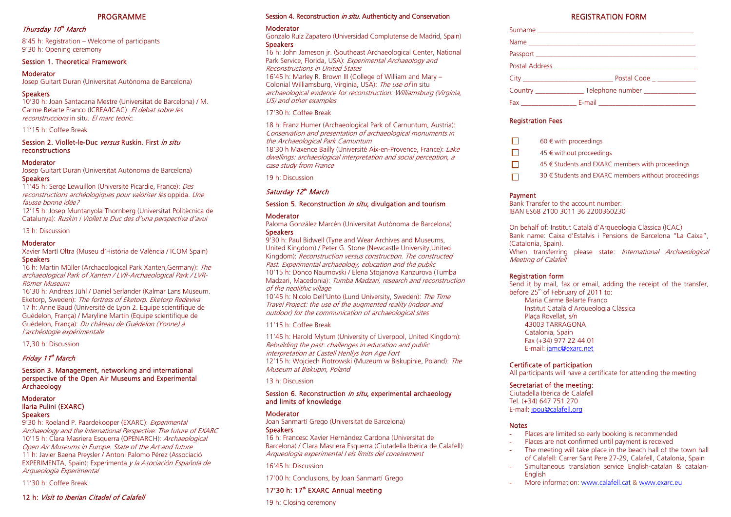#### PROGRAMME

### Thursday 10<sup>th</sup> March

8'45 h: Registration – Welcome of participants 9'30 h: Opening ceremony

### Session 1. Theoretical Framework

### **Moderator**

Josep Guitart Duran (Universitat Autònoma de Barcelona)<br>Speakers

10'30 h: Joan Santacana Mestre (Universitat de Barcelona) / M. Carme Belarte Franco (ICREA/ICAC): El debat sobre les reconstruccions in situ. El marc teòric.

### 11'15 h: Coffee Break

#### Session 2. Viollet-le-Duc versus Ruskin. First in situ reconstructions

### Moderator

Josep Guitart Duran (Universitat Autònoma de Barcelona) **Speakers** 

11'45 h: Serge Lewuillon (Université Picardie, France): Des reconstructions archéologiques pour valoriser les oppida. Une fausse bonne idée?

12'15 h: Josep Muntanyola Thornberg (Universitat Politècnica de Catalunya): Ruskin i Viollet le Duc des d'una perspectiva d'avui

13 h: Discussion

### Moderator

Xavier Martí Oltra (Museu d'Història de València / ICOM Spain) **Speakers** 

16 h: Martin Müller (Archaeological Park Xanten,Germany): The archaeological Park of Xanten / LVR-Archaeological Park / LVR-Römer Museum

16'30 h: Andreas Jühl / Daniel Serlander (Kalmar Lans Museum. Eketorp, Sweden): The fortress of Eketorp. Eketorp Redeviva 17 h: Anne Baud (Université de Lyon 2. Equipe scientifique de Guédelon, França) / Maryline Martin (Equipe scientifique de Guédelon, França): Du château de Guédelon (Yonne) à l'archéologie expérimentale

17,30 h: Discussion

# Friday 11<sup>th</sup> March

#### Session 3. Management, networking and international perspective of the Open Air Museums and Experimental **Archaeology**

#### Moderator Ilaria Pulini (EXARC) **Speakers**

9'30 h: Roeland P. Paardekooper (EXARC): Experimental Archaeology and the International Perspective: The future of EXARC 10'15 h: Clara Masriera Esquerra (OPENARCH): Archaeological Open Air Museums in Europe. State of the Art and future 11 h: Javier Baena Preysler / Antoni Palomo Pérez (Associació EXPERIMENTA, Spain): Experimenta y la Asociación Española de Arqueología Experimental

11'30 h: Coffee Break

### 12 h: Visit to Iberian Citadel of Calafell

# Session 4. Reconstruction *in situ*. Authenticity and Conservation<br>Moderator

#### 17'30 h: Coffee Break

# Saturday 12th March

# Session 5. Reconstruction *in situ*, divulgation and tourism<br>Moderator

### 11'15 h: Coffee Break

#### Session 6. Reconstruction in situ, experimental archaeology and limits of knowledge

### **Moderator**

# 17'30 h: 17<sup>th</sup> EXARC Annual meeting

| Session 4. Reconstruction <i>in situ</i> . Authenticity and Conservation                                                                                                                                                                                                                                          | <b>REGISTRATION FORM</b>                                                                                             |
|-------------------------------------------------------------------------------------------------------------------------------------------------------------------------------------------------------------------------------------------------------------------------------------------------------------------|----------------------------------------------------------------------------------------------------------------------|
| Moderator                                                                                                                                                                                                                                                                                                         |                                                                                                                      |
| Gonzalo Ruíz Zapatero (Universidad Complutense de Madrid, Spain)<br>Speakers<br>16 h: John Jameson jr. (Southeast Archaeological Center, National<br>Park Service, Florida, USA): Experimental Archaeology and<br>Reconstructions in United States<br>16'45 h: Marley R. Brown III (College of William and Mary - |                                                                                                                      |
|                                                                                                                                                                                                                                                                                                                   |                                                                                                                      |
|                                                                                                                                                                                                                                                                                                                   |                                                                                                                      |
|                                                                                                                                                                                                                                                                                                                   |                                                                                                                      |
| Colonial Williamsburg, Virginia, USA): The use of in situ                                                                                                                                                                                                                                                         | Country ___________________Telephone number __________________                                                       |
| archaeological evidence for reconstruction: Williamsburg (Virginia,<br>US) and other examples                                                                                                                                                                                                                     |                                                                                                                      |
| 17'30 h: Coffee Break                                                                                                                                                                                                                                                                                             |                                                                                                                      |
| 18 h: Franz Humer (Archaeological Park of Carnuntum, Austria):                                                                                                                                                                                                                                                    | <b>Registration Fees</b>                                                                                             |
| Conservation and presentation of archaeological monuments in                                                                                                                                                                                                                                                      |                                                                                                                      |
| the Archaeological Park Carnuntum<br>18'30 h Maxence Bailly (Université Aix-en-Provence, France): Lake                                                                                                                                                                                                            | □<br>60 $\in$ with proceedings                                                                                       |
| dwellings: archaeological interpretation and social perception, a                                                                                                                                                                                                                                                 | $\Box$<br>45 € without proceedings                                                                                   |
| case study from France                                                                                                                                                                                                                                                                                            | 45 € Students and EXARC members with proceedings<br>$\Box$                                                           |
| 19 h: Discussion                                                                                                                                                                                                                                                                                                  | 30 € Students and EXARC members without proceedings<br>$\Box$                                                        |
| Saturday 12th March                                                                                                                                                                                                                                                                                               | Payment                                                                                                              |
| Session 5. Reconstruction in situ, divulgation and tourism                                                                                                                                                                                                                                                        | Bank Transfer to the account number:                                                                                 |
| Moderator                                                                                                                                                                                                                                                                                                         | IBAN ES68 2100 3011 36 2200360230                                                                                    |
| Paloma González Marcén (Universitat Autònoma de Barcelona)                                                                                                                                                                                                                                                        | On behalf of: Institut Català d'Arqueologia Clàssica (ICAC)                                                          |
| Speakers<br>9'30 h: Paul Bidwell (Tyne and Wear Archives and Museums,                                                                                                                                                                                                                                             | Bank name: Caixa d'Estalvis i Pensions de Barcelona "La Caixa",                                                      |
| United Kingdom) / Peter G. Stone (Newcastle University, United                                                                                                                                                                                                                                                    | (Catalonia, Spain).<br>When transferring please state: International Archaeological                                  |
| Kingdom): Reconstruction versus construction. The constructed                                                                                                                                                                                                                                                     | <b>Meeting of Calafell</b>                                                                                           |
| Past. Experimental archaeology, education and the public<br>10'15 h: Donco Naumovski / Elena Stojanova Kanzurova (Tumba                                                                                                                                                                                           |                                                                                                                      |
| Madzari, Macedonia): Tumba Madzari, research and reconstruction                                                                                                                                                                                                                                                   | <b>Registration form</b><br>Send it by mail, fax or email, adding the receipt of the transfer,                       |
| of the neolithic village                                                                                                                                                                                                                                                                                          | before 25 <sup>th</sup> of February of 2011 to:                                                                      |
| 10'45 h: Nicolo Dell'Unto (Lund University, Sweden): The Time<br>Travel Project: the use of the augmented reality (indoor and                                                                                                                                                                                     | Maria Carme Belarte Franco                                                                                           |
| outdoor) for the communication of archaeological sites                                                                                                                                                                                                                                                            | Institut Català d'Arqueologia Clàssica<br>Plaça Rovellat, s/n                                                        |
| 11'15 h: Coffee Break                                                                                                                                                                                                                                                                                             | 43003 TARRAGONA                                                                                                      |
| 11'45 h: Harold Mytum (University of Liverpool, United Kingdom):                                                                                                                                                                                                                                                  | Catalonia, Spain                                                                                                     |
| Rebuilding the past: challenges in education and public                                                                                                                                                                                                                                                           | Fax (+34) 977 22 44 01<br>E-mail: jamc@exarc.net                                                                     |
| interpretation at Castell Henllys Iron Age Fort<br>12'15 h: Wojciech Piotrowski (Muzeum w Biskupinie, Poland): The                                                                                                                                                                                                |                                                                                                                      |
| Museum at Biskupin, Poland                                                                                                                                                                                                                                                                                        | Certificate of participation<br>All participants will have a certificate for attending the meeting                   |
| 13 h: Discussion                                                                                                                                                                                                                                                                                                  |                                                                                                                      |
| Session 6. Reconstruction <i>in situ</i> , experimental archaeology                                                                                                                                                                                                                                               | Secretariat of the meeting:<br>Ciutadella Ibèrica de Calafell                                                        |
| and limits of knowledge                                                                                                                                                                                                                                                                                           | Tel. (+34) 647 751 270                                                                                               |
| Moderator                                                                                                                                                                                                                                                                                                         | E-mail: jpou@calafell.org                                                                                            |
| Joan Sanmartí Grego (Universitat de Barcelona)                                                                                                                                                                                                                                                                    | <b>Notes</b>                                                                                                         |
| Speakers<br>16 h: Francesc Xavier Hernàndez Cardona (Universitat de                                                                                                                                                                                                                                               | Places are limited so early booking is recommended                                                                   |
| Barcelona) / Clara Masriera Esquerra (Ciutadella Ibèrica de Calafell):                                                                                                                                                                                                                                            | Places are not confirmed until payment is received<br>The meeting will take place in the beach hall of the town hall |
| Arqueologia experimental I els límits del coneixement                                                                                                                                                                                                                                                             | of Calafell: Carrer Sant Pere 27-29, Calafell, Catalonia, Spain                                                      |
| 16'45 h: Discussion                                                                                                                                                                                                                                                                                               | Simultaneous translation service English-catalan & catalan-                                                          |
| 17'00 h: Conclusions, by Joan Sanmartí Grego                                                                                                                                                                                                                                                                      | English<br>More information: www.calafell.cat & www.exarc.eu                                                         |
| 17'30 h: 17 <sup>th</sup> EXARC Annual meeting                                                                                                                                                                                                                                                                    |                                                                                                                      |
| 19 h: Closing ceremony                                                                                                                                                                                                                                                                                            |                                                                                                                      |

| П            | 60 $\in$ with proceedings                            |
|--------------|------------------------------------------------------|
| П            | $45 \in$ without proceedings                         |
| П            | $45 \in$ Students and EXARC members with proceedings |
| $\mathbf{L}$ | 30 € Students and EXARC members without proceeding   |

# Certificate of participation

# Secretariat of the meeting:

### **Notes**

- -Places are limited so early booking is recommended
- -Places are not confirmed until payment is received
- The meeting will take place in the beach hall of the town hall of Calafell: Carrer Sant Pere 27-29, Calafell, Catalonia, Spain
- - Simultaneous translation service English-catalan & catalan-English
- More information: www.calafell.cat & www.exarc.eu